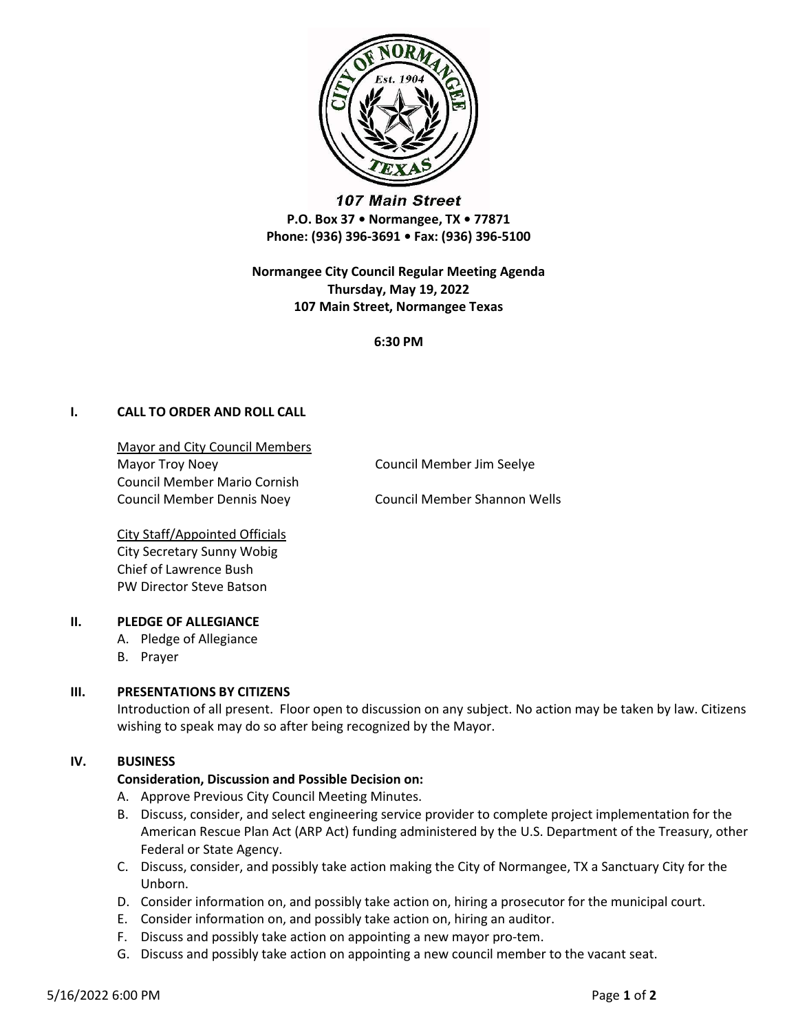

107 Main Street P.O. Box 37 • Normangee, TX • 77871 Phone: (936) 396-3691 • Fax: (936) 396-5100

Normangee City Council Regular Meeting Agenda Thursday, May 19, 2022 107 Main Street, Normangee Texas

6:30 PM

# I. CALL TO ORDER AND ROLL CALL

Mayor and City Council Members Mayor Troy Noey **Council Member Jim Seelye** Council Member Mario Cornish Council Member Dennis Noey Council Member Shannon Wells

City Staff/Appointed Officials City Secretary Sunny Wobig Chief of Lawrence Bush PW Director Steve Batson

# II. PLEDGE OF ALLEGIANCE

- A. Pledge of Allegiance
- B. Prayer

# III. PRESENTATIONS BY CITIZENS

Introduction of all present. Floor open to discussion on any subject. No action may be taken by law. Citizens wishing to speak may do so after being recognized by the Mayor.

# IV. BUSINESS

#### Consideration, Discussion and Possible Decision on:

- A. Approve Previous City Council Meeting Minutes.
- B. Discuss, consider, and select engineering service provider to complete project implementation for the American Rescue Plan Act (ARP Act) funding administered by the U.S. Department of the Treasury, other Federal or State Agency.
- C. Discuss, consider, and possibly take action making the City of Normangee, TX a Sanctuary City for the Unborn.
- D. Consider information on, and possibly take action on, hiring a prosecutor for the municipal court.
- E. Consider information on, and possibly take action on, hiring an auditor.
- F. Discuss and possibly take action on appointing a new mayor pro-tem.
- G. Discuss and possibly take action on appointing a new council member to the vacant seat.